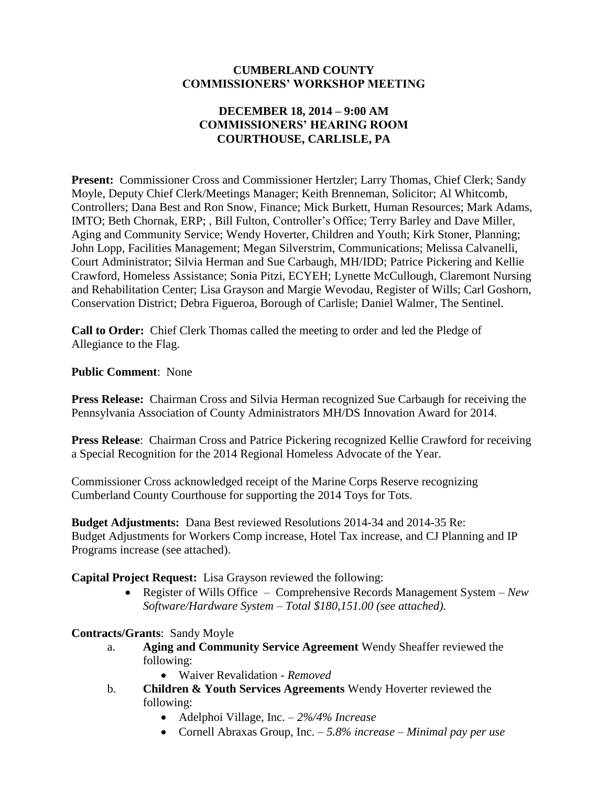#### **CUMBERLAND COUNTY COMMISSIONERS' WORKSHOP MEETING**

### **DECEMBER 18, 2014 – 9:00 AM COMMISSIONERS' HEARING ROOM COURTHOUSE, CARLISLE, PA**

Present: Commissioner Cross and Commissioner Hertzler; Larry Thomas, Chief Clerk; Sandy Moyle, Deputy Chief Clerk/Meetings Manager; Keith Brenneman, Solicitor; Al Whitcomb, Controllers; Dana Best and Ron Snow, Finance; Mick Burkett, Human Resources; Mark Adams, IMTO; Beth Chornak, ERP; , Bill Fulton, Controller's Office; Terry Barley and Dave Miller, Aging and Community Service; Wendy Hoverter, Children and Youth; Kirk Stoner, Planning; John Lopp, Facilities Management; Megan Silverstrim, Communications; Melissa Calvanelli, Court Administrator; Silvia Herman and Sue Carbaugh, MH/IDD; Patrice Pickering and Kellie Crawford, Homeless Assistance; Sonia Pitzi, ECYEH; Lynette McCullough, Claremont Nursing and Rehabilitation Center; Lisa Grayson and Margie Wevodau, Register of Wills; Carl Goshorn, Conservation District; Debra Figueroa, Borough of Carlisle; Daniel Walmer, The Sentinel.

**Call to Order:** Chief Clerk Thomas called the meeting to order and led the Pledge of Allegiance to the Flag.

**Public Comment**: None

**Press Release:** Chairman Cross and Silvia Herman recognized Sue Carbaugh for receiving the Pennsylvania Association of County Administrators MH/DS Innovation Award for 2014.

**Press Release**: Chairman Cross and Patrice Pickering recognized Kellie Crawford for receiving a Special Recognition for the 2014 Regional Homeless Advocate of the Year.

Commissioner Cross acknowledged receipt of the Marine Corps Reserve recognizing Cumberland County Courthouse for supporting the 2014 Toys for Tots.

**Budget Adjustments:** Dana Best reviewed Resolutions 2014-34 and 2014-35 Re: Budget Adjustments for Workers Comp increase, Hotel Tax increase, and CJ Planning and IP Programs increase (see attached).

**Capital Project Request:** Lisa Grayson reviewed the following:

 Register of Wills Office – Comprehensive Records Management System – *New Software/Hardware System – Total \$180,151.00 (see attached).* 

### **Contracts/Grants**: Sandy Moyle

- a. **Aging and Community Service Agreement** Wendy Sheaffer reviewed the following:
	- Waiver Revalidation *Removed*
- b. **Children & Youth Services Agreements** Wendy Hoverter reviewed the following:
	- Adelphoi Village, Inc. *2%/4% Increase*
	- Cornell Abraxas Group, Inc. *5.8% increase – Minimal pay per use*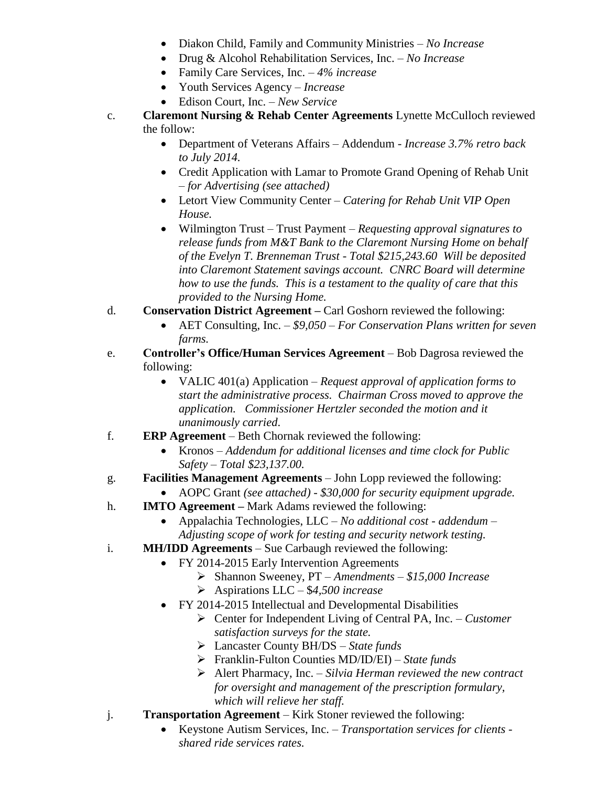- Diakon Child, Family and Community Ministries *No Increase*
- Drug & Alcohol Rehabilitation Services, Inc. *No Increase*
- Family Care Services, Inc. *4% increase*
- Youth Services Agency *Increase*
- Edison Court, Inc. *New Service*
- c. **Claremont Nursing & Rehab Center Agreements** Lynette McCulloch reviewed the follow:
	- Department of Veterans Affairs Addendum *Increase 3.7% retro back to July 2014.*
	- Credit Application with Lamar to Promote Grand Opening of Rehab Unit – *for Advertising (see attached)*
	- Letort View Community Center *Catering for Rehab Unit VIP Open House.*
	- Wilmington Trust Trust Payment *Requesting approval signatures to release funds from M&T Bank to the Claremont Nursing Home on behalf of the Evelyn T. Brenneman Trust - Total \$215,243.60 Will be deposited into Claremont Statement savings account. CNRC Board will determine how to use the funds. This is a testament to the quality of care that this provided to the Nursing Home.*
- d. **Conservation District Agreement –** Carl Goshorn reviewed the following:
	- AET Consulting, Inc. *\$9,050 – For Conservation Plans written for seven farms.*
- e. **Controller's Office/Human Services Agreement** Bob Dagrosa reviewed the following:
	- VALIC 401(a) Application *Request approval of application forms to start the administrative process. Chairman Cross moved to approve the application. Commissioner Hertzler seconded the motion and it unanimously carried*.
- f. **ERP Agreement** Beth Chornak reviewed the following:
	- Kronos *Addendum for additional licenses and time clock for Public Safety – Total \$23,137.00.*
- g. **Facilities Management Agreements** John Lopp reviewed the following:
	- AOPC Grant *(see attached) - \$30,000 for security equipment upgrade.*
- h. **IMTO Agreement –** Mark Adams reviewed the following:
	- Appalachia Technologies, LLC *No additional cost - addendum – Adjusting scope of work for testing and security network testing.*
- i. **MH/IDD Agreements** Sue Carbaugh reviewed the following:
	- FY 2014-2015 Early Intervention Agreements
		- Shannon Sweeney, PT *– Amendments – \$15,000 Increase*
		- Aspirations LLC \$*4,500 increase*
	- FY 2014-2015 Intellectual and Developmental Disabilities
		- Center for Independent Living of Central PA, Inc. *Customer satisfaction surveys for the state.*
		- Lancaster County BH/DS *State funds*
		- Franklin-Fulton Counties MD/ID/EI) *State funds*
		- Alert Pharmacy, Inc. *Silvia Herman reviewed the new contract for oversight and management of the prescription formulary, which will relieve her staff.*
- j. **Transportation Agreement** Kirk Stoner reviewed the following:
	- Keystone Autism Services, Inc. *Transportation services for clients shared ride services rates.*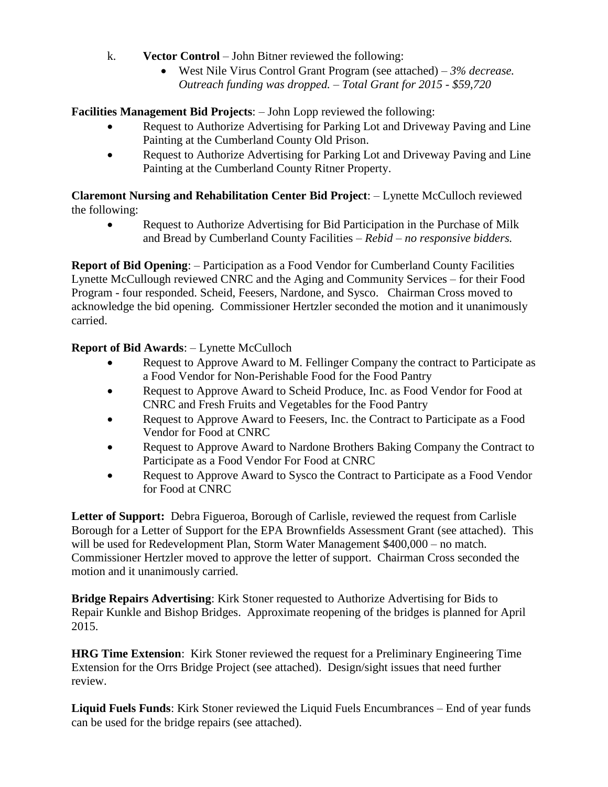- k. **Vector Control** John Bitner reviewed the following:
	- West Nile Virus Control Grant Program (see attached) *3% decrease. Outreach funding was dropped. – Total Grant for 2015 - \$59,720*

**Facilities Management Bid Projects**: – John Lopp reviewed the following:

- Request to Authorize Advertising for Parking Lot and Driveway Paving and Line Painting at the Cumberland County Old Prison.
- Request to Authorize Advertising for Parking Lot and Driveway Paving and Line Painting at the Cumberland County Ritner Property.

## **Claremont Nursing and Rehabilitation Center Bid Project**: – Lynette McCulloch reviewed the following:

 Request to Authorize Advertising for Bid Participation in the Purchase of Milk and Bread by Cumberland County Facilities – *Rebid – no responsive bidders.*

**Report of Bid Opening**: – Participation as a Food Vendor for Cumberland County Facilities Lynette McCullough reviewed CNRC and the Aging and Community Services – for their Food Program - four responded. Scheid, Feesers, Nardone, and Sysco. Chairman Cross moved to acknowledge the bid opening. Commissioner Hertzler seconded the motion and it unanimously carried.

# **Report of Bid Awards**: – Lynette McCulloch

- Request to Approve Award to M. Fellinger Company the contract to Participate as a Food Vendor for Non-Perishable Food for the Food Pantry
- Request to Approve Award to Scheid Produce, Inc. as Food Vendor for Food at CNRC and Fresh Fruits and Vegetables for the Food Pantry
- Request to Approve Award to Feesers, Inc. the Contract to Participate as a Food Vendor for Food at CNRC
- Request to Approve Award to Nardone Brothers Baking Company the Contract to Participate as a Food Vendor For Food at CNRC
- Request to Approve Award to Sysco the Contract to Participate as a Food Vendor for Food at CNRC

**Letter of Support:** Debra Figueroa, Borough of Carlisle, reviewed the request from Carlisle Borough for a Letter of Support for the EPA Brownfields Assessment Grant (see attached). This will be used for Redevelopment Plan, Storm Water Management \$400,000 – no match. Commissioner Hertzler moved to approve the letter of support. Chairman Cross seconded the motion and it unanimously carried.

**Bridge Repairs Advertising**: Kirk Stoner requested to Authorize Advertising for Bids to Repair Kunkle and Bishop Bridges. Approximate reopening of the bridges is planned for April 2015.

**HRG Time Extension**: Kirk Stoner reviewed the request for a Preliminary Engineering Time Extension for the Orrs Bridge Project (see attached). Design/sight issues that need further review.

**Liquid Fuels Funds**: Kirk Stoner reviewed the Liquid Fuels Encumbrances – End of year funds can be used for the bridge repairs (see attached).